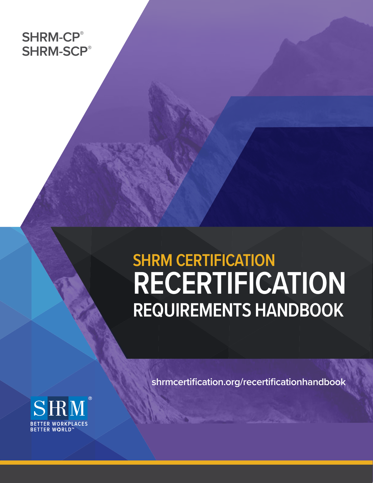# **SHRM-CP® SHRM-SCP®**

# **SHRM CERTIFICATION RECERTIFICATION REQUIREMENTS HANDBOOK**

**[shrmcertification.org/recertificationhandbook](http://www.shrmcertification.org/recertificationhandbook  )** 

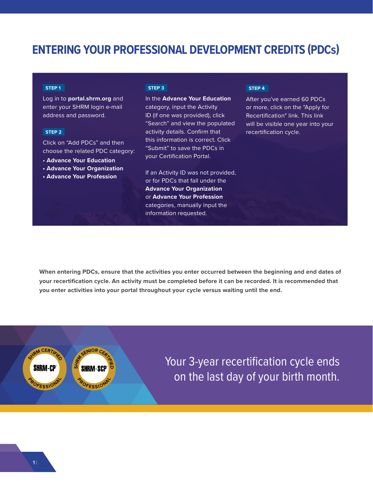### **ENTERING YOUR PROFESSIONAL DEVELOPMENT CREDITS (PDCs)**

#### **STEP 1**

Log in to **portal.shrm.org** and enter your SHRM login e-mail address and password.

#### **STEP 2**

Click on "Add PDCs" and then choose the related PDC category:

- **Advance Your Education**
- **Advance Your Organization**
- **Advance Your Profession**

**STEP 3**

#### In the **Advance Your Education** category, input the Activity ID (if one was provided), click "Search" and view the populated activity details. Confirm that this information is correct. Click "Submit" to save the PDCs in your Certification Portal.

If an Activity ID was not provided, or for PDCs that fall under the **Advance Your Organization** or **Advance Your Profession** categories, manually input the information requested.

#### **STEP 4**

After you've earned 60 PDCs or more, click on the "Apply for Recertification" link. This link will be visible one year into your recertification cycle.

**When entering PDCs, ensure that the activities you enter occurred between the beginning and end dates of your recertification cycle. An activity must be completed before it can be recorded. It is recommended that you enter activities into your portal throughout your cycle versus waiting until the end.** 



Your 3-year recertification cycle ends on the last day of your birth month.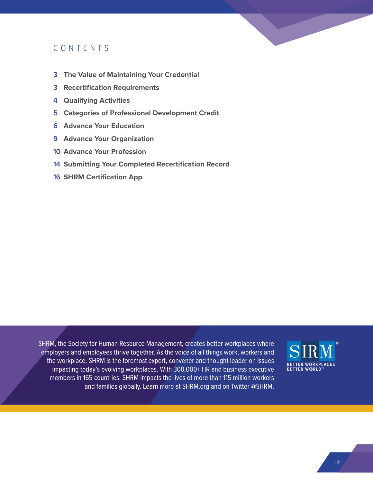### CONTENTS

- **3 The Value of Maintaining Your Credential**
- **3 Recertification Requirements**
- **4 Qualifying Activities**
- **5 Categories of Professional Development Credit**
- **6 Advance Your Education**
- **9 Advance Your Organization**
- **10 Advance Your Profession**
- **14 Submitting Your Completed Recertification Record**
- **16 SHRM Certification App**

SHRM, the Society for Human Resource Management, creates better workplaces where employers and employees thrive together. As the voice of all things work, workers and the workplace, SHRM is the foremost expert, convener and thought leader on issues impacting today's evolving workplaces. With 300,000+ HR and business executive members in 165 countries, SHRM impacts the lives of more than 115 million workers and families globally. Learn more at [SHRM.org](http://SHRM.org) and on Twitter @SHRM.

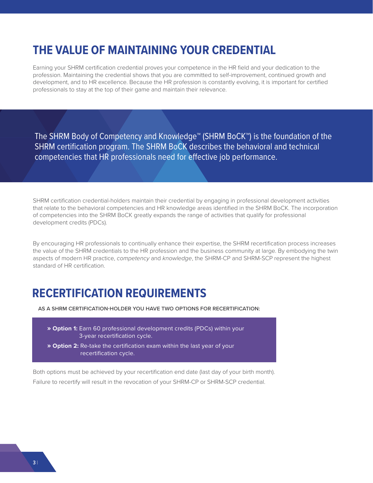### **THE VALUE OF MAINTAINING YOUR CREDENTIAL**

Earning your SHRM certification credential proves your competence in the HR field and your dedication to the profession. Maintaining the credential shows that you are committed to self-improvement, continued growth and development, and to HR excellence. Because the HR profession is constantly evolving, it is important for certified professionals to stay at the top of their game and maintain their relevance.

The SHRM Body of Competency and Knowledge™ (SHRM BoCK™) is the foundation of the SHRM certification program. The SHRM BoCK describes the behavioral and technical competencies that HR professionals need for effective job performance.

SHRM certification credential-holders maintain their credential by engaging in professional development activities that relate to the behavioral competencies and HR knowledge areas identified in the SHRM BoCK. The incorporation of competencies into the SHRM BoCK greatly expands the range of activities that qualify for professional development credits (PDCs).

By encouraging HR professionals to continually enhance their expertise, the SHRM recertification process increases the value of the SHRM credentials to the HR profession and the business community at large. By embodying the twin aspects of modern HR practice, *competency* and *knowledge*, the SHRM-CP and SHRM-SCP represent the highest standard of HR certification.

### **RECERTIFICATION REQUIREMENTS**

 **AS A SHRM CERTIFICATION-HOLDER YOU HAVE TWO OPTIONS FOR RECERTIFICATION:**

- **» Option 1:** Earn 60 professional development credits (PDCs) within your 3-year recertification cycle.
- **» Option 2:** Re-take the certification exam within the last year of your recertification cycle.

Both options must be achieved by your recertification end date (last day of your birth month). Failure to recertify will result in the revocation of your SHRM-CP or SHRM-SCP credential.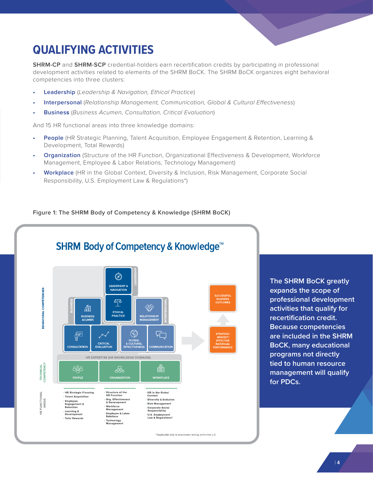

# **QUALIFYING ACTIVITIES**

**SHRM-CP** and **SHRM-SCP** credential-holders earn recertification credits by participating in professional development activities related to elements of the SHRM BoCK. The SHRM BoCK organizes eight behavioral competencies into three clusters:

- **• Leadership** (*Leadership & Navigation, Ethical Practice*)
- **• Interpersonal** (*Relationship Management, Communication, Global & Cultural Effectiveness*)
- **• Business** (*Business Acumen, Consultation, Critical Evaluation*)

And 15 HR functional areas into three knowledge domains:

- **• People** (HR Strategic Planning, Talent Acquisition, Employee Engagement & Retention, Learning & Development, Total Rewards)
- **• Organization** (Structure of the HR Function, Organizational Effectiveness & Development, Workforce Management, Employee & Labor Relations, Technology Management)
- **• Workplace** (HR in the Global Context, Diversity & Inclusion, Risk Management, Corporate Social Responsibility, U.S. Employment Law & Regulations\*)

#### **Figure 1: The SHRM Body of Competency & Knowledge (SHRM BoCK)**



**The SHRM BoCK greatly expands the scope of professional development activities that qualify for recertification credit. Because competencies are included in the SHRM BoCK, many educational programs not directly tied to human resource management will qualify for PDCs.**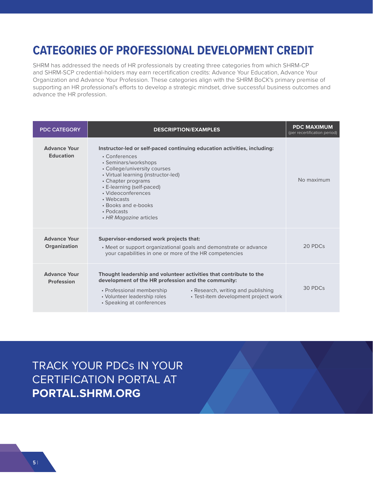### **CATEGORIES OF PROFESSIONAL DEVELOPMENT CREDIT**

SHRM has addressed the needs of HR professionals by creating three categories from which SHRM-CP and SHRM-SCP credential-holders may earn recertification credits: Advance Your Education, Advance Your Organization and Advance Your Profession. These categories align with the SHRM BoCK's primary premise of supporting an HR professional's efforts to develop a strategic mindset, drive successful business outcomes and advance the HR profession.

| <b>PDC CATEGORY</b>                      | <b>DESCRIPTION/EXAMPLES</b>                                                                                                                                                                                                                                                                                                                    | <b>PDC MAXIMUM</b><br>(per recertification period) |
|------------------------------------------|------------------------------------------------------------------------------------------------------------------------------------------------------------------------------------------------------------------------------------------------------------------------------------------------------------------------------------------------|----------------------------------------------------|
| <b>Advance Your</b><br><b>Education</b>  | Instructor-led or self-paced continuing education activities, including:<br>• Conferences<br>• Seminars/workshops<br>• College/university courses<br>• Virtual learning (instructor-led)<br>• Chapter programs<br>• E-learning (self-paced)<br>· Videoconferences<br>• Webcasts<br>• Books and e-books<br>• Podcasts<br>• HR Magazine articles | No maximum                                         |
| <b>Advance Your</b><br>Organization      | Supervisor-endorsed work projects that:<br>• Meet or support organizational goals and demonstrate or advance<br>your capabilities in one or more of the HR competencies                                                                                                                                                                        | 20 PDCs                                            |
| <b>Advance Your</b><br><b>Profession</b> | Thought leadership and volunteer activities that contribute to the<br>development of the HR profession and the community:<br>• Research, writing and publishing<br>• Professional membership<br>• Volunteer leadership roles<br>• Test-item development project work<br>• Speaking at conferences                                              | 30 PDCs                                            |

TRACK YOUR PDCs IN YOUR CERTIFICATION PORTAL AT **[PORTAL.SHRM.ORG](https://portal.shrm.org/Login.aspx?ReturnUrl=/Profile/Default.aspx)**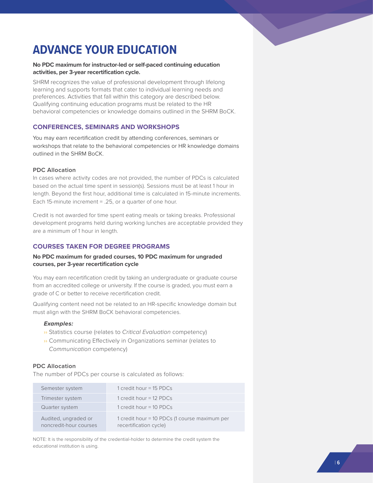

# **ADVANCE YOUR EDUCATION**

#### **No PDC maximum for instructor-led or self-paced continuing education activities, per 3-year recertification cycle.**

SHRM recognizes the value of professional development through lifelong learning and supports formats that cater to individual learning needs and preferences. Activities that fall within this category are described below. Qualifying continuing education programs must be related to the HR behavioral competencies or knowledge domains outlined in the SHRM BoCK.

#### **CONFERENCES, SEMINARS AND WORKSHOPS**

You may earn recertification credit by attending conferences, seminars or workshops that relate to the behavioral competencies or HR knowledge domains outlined in the SHRM BoCK.

#### **PDC Allocation**

In cases where activity codes are not provided, the number of PDCs is calculated based on the actual time spent in session(s). Sessions must be at least 1 hour in length. Beyond the first hour, additional time is calculated in 15-minute increments. Each 15-minute increment = .25, or a quarter of one hour.

Credit is not awarded for time spent eating meals or taking breaks. Professional development programs held during working lunches are acceptable provided they are a minimum of 1 hour in length.

#### **COURSES TAKEN FOR DEGREE PROGRAMS**

#### **No PDC maximum for graded courses, 10 PDC maximum for ungraded courses, per 3-year recertification cycle**

You may earn recertification credit by taking an undergraduate or graduate course from an accredited college or university. If the course is graded, you must earn a grade of C or better to receive recertification credit.

Qualifying content need not be related to an HR-specific knowledge domain but must align with the SHRM BoCK behavioral competencies.

#### *Examples:*

- ›› Statistics course (relates to *Critical Evaluation* competency)
- ›› Communicating Effectively in Organizations seminar (relates to *Communication* competency)

#### **PDC Allocation**

The number of PDCs per course is calculated as follows:

| Semester system                                | 1 credit hour = 15 PDCs                                                 |
|------------------------------------------------|-------------------------------------------------------------------------|
| Trimester system                               | 1 credit hour = 12 PDCs                                                 |
| Quarter system                                 | 1 credit hour $=$ 10 PDCs                                               |
| Audited, ungraded or<br>noncredit-hour courses | 1 credit hour = 10 PDCs (1 course maximum per<br>recertification cycle) |

NOTE: It is the responsibility of the credential-holder to determine the credit system the educational institution is using.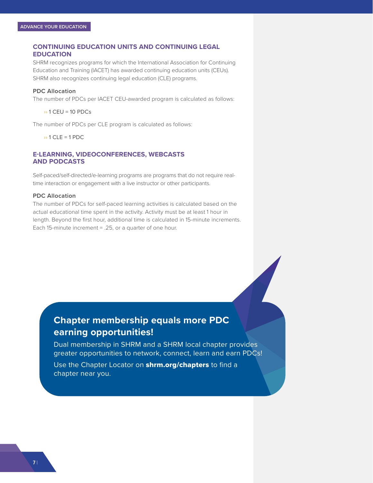#### **CONTINUING EDUCATION UNITS AND CONTINUING LEGAL EDUCATION**

SHRM recognizes programs for which the International Association for Continuing Education and Training (IACET) has awarded continuing education units (CEUs). SHRM also recognizes continuing legal education (CLE) programs.

#### **PDC Allocation**

The number of PDCs per IACET CEU-awarded program is calculated as follows:

 $\rightarrow$  1 CEU = 10 PDCs

The number of PDCs per CLE program is calculated as follows:

 $\rightarrow$  1 CLE = 1 PDC

#### **E-LEARNING, VIDEOCONFERENCES, WEBCASTS AND PODCASTS**

Self-paced/self-directed/e-learning programs are programs that do not require realtime interaction or engagement with a live instructor or other participants.

#### **PDC Allocation**

The number of PDCs for self-paced learning activities is calculated based on the actual educational time spent in the activity. Activity must be at least 1 hour in length. Beyond the first hour, additional time is calculated in 15-minute increments. Each 15-minute increment = .25, or a quarter of one hour.

### **Chapter membership equals more PDC earning opportunities!**

Dual membership in SHRM and a SHRM local chapter provides greater opportunities to network, connect, learn and earn PDCs!

Use the Chapter Locator on **[shrm.org/chapters](http://shrm.org/chapters)** to find a chapter near you.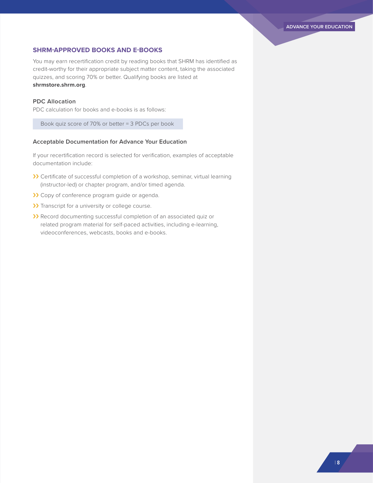#### **SHRM-APPROVED BOOKS AND E-BOOKS**

You may earn recertification credit by reading books that SHRM has identified as credit-worthy for their appropriate subject matter content, taking the associated quizzes, and scoring 70% or better. Qualifying books are listed at **<shrmstore.shrm.org>**.

#### **PDC Allocation**

PDC calculation for books and e-books is as follows:

Book quiz score of 70% or better = 3 PDCs per book

#### **Acceptable Documentation for Advance Your Education**

- >>>>>> Certificate of successful completion of a workshop, seminar, virtual learning (instructor-led) or chapter program, and/or timed agenda.
- >> Copy of conference program guide or agenda.
- >> Transcript for a university or college course.
- >> Record documenting successful completion of an associated quiz or related program material for self-paced activities, including e-learning, videoconferences, webcasts, books and e-books.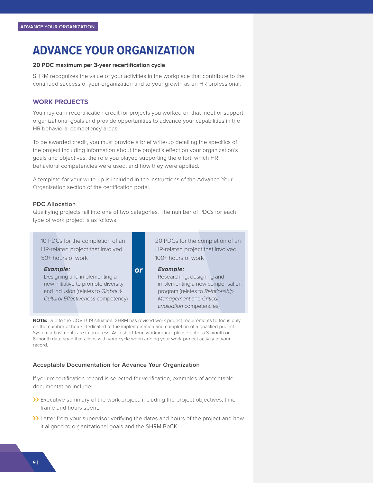### **ADVANCE YOUR ORGANIZATION**

#### **20 PDC maximum per 3-year recertification cycle**

SHRM recognizes the value of your activities in the workplace that contribute to the continued success of your organization and to your growth as an HR professional.

#### **WORK PROJECTS**

You may earn recertification credit for projects you worked on that meet or support organizational goals and provide opportunities to advance your capabilities in the HR behavioral competency areas.

To be awarded credit, you must provide a brief write-up detailing the specifics of the project including information about the project's effect on your organization's goals and objectives, the role you played supporting the effort, which HR behavioral competencies were used, and how they were applied.

A template for your write-up is included in the instructions of the Advance Your Organization section of the certification portal.

#### **PDC Allocation**

Qualifying projects fall into one of two categories. The number of PDCs for each type of work project is as follows:

| 10 PDCs for the completion of an    |           | 20 PDCs for the completion of an |  |
|-------------------------------------|-----------|----------------------------------|--|
| HR-related project that involved    |           | HR-related project that involved |  |
| 50+ hours of work                   |           | 100+ hours of work               |  |
| <b>Example:</b>                     | <b>or</b> | <b>Example:</b>                  |  |
| Designing and implementing a        |           | Researching, designing and       |  |
| new initiative to promote diversity |           | implementing a new compensation  |  |
| and inclusion (relates to Global &  |           | program (relates to Relationship |  |
| Cultural Effectiveness competency)  |           | <b>Management and Critical</b>   |  |

*Evaluation* competencies)

**NOTE:** Due to the COVID-19 situation, SHRM has revised work project requirements to focus only on the number of hours dedicated to the implementation and completion of a qualified project. System adjustments are in progress. As a short-term workaround, please enter a 3-month or 6-month date span that aligns with your cycle when adding your work project activity to your record.

#### **Acceptable Documentation for Advance Your Organization**

- >> Executive summary of the work project, including the project objectives, time frame and hours spent.
- ›› Letter from your supervisor verifying the dates and hours of the project and how it aligned to organizational goals and the SHRM BoCK.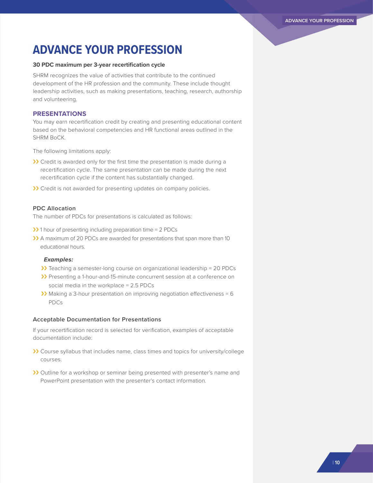### **ADVANCE YOUR PROFESSION**

#### **30 PDC maximum per 3-year recertification cycle**

SHRM recognizes the value of activities that contribute to the continued development of the HR profession and the community. These include thought leadership activities, such as making presentations, teaching, research, authorship and volunteering..

#### **PRESENTATIONS**

You may earn recertification credit by creating and presenting educational content based on the behavioral competencies and HR functional areas outlined in the SHRM BoCK.

The following limitations apply:

- >> Credit is awarded only for the first time the presentation is made during a recertification cycle. The same presentation can be made during the next recertification cycle if the content has substantially changed.
- >> Credit is not awarded for presenting updates on company policies.

#### **PDC Allocation**

The number of PDCs for presentations is calculated as follows:

- $\lambda$  1 hour of presenting including preparation time = 2 PDCs
- >>>>>>> A maximum of 20 PDCs are awarded for presentations that span more than 10 educational hours.

#### *Examples:*

- >> Teaching a semester-long course on organizational leadership = 20 PDCs
- >> Presenting a 1-hour-and-15-minute concurrent session at a conference on social media in the workplace = 2.5 PDCs
- >> Making a 3-hour presentation on improving negotiation effectiveness = 6 PDCs

#### **Acceptable Documentation for Presentations**

- >>> Course syllabus that includes name, class times and topics for university/college courses.
- >> Outline for a workshop or seminar being presented with presenter's name and PowerPoint presentation with the presenter's contact information.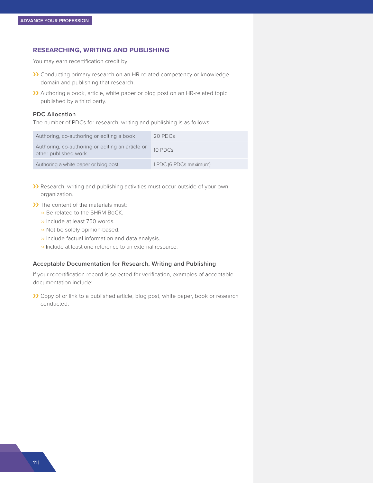#### **RESEARCHING, WRITING AND PUBLISHING**

You may earn recertification credit by:

- >> Conducting primary research on an HR-related competency or knowledge domain and publishing that research.
- ›› Authoring a book, article, white paper or blog post on an HR-related topic published by a third party.

#### **PDC Allocation**

The number of PDCs for research, writing and publishing is as follows:

| Authoring, co-authoring or editing a book                                | 20 PDCs                |
|--------------------------------------------------------------------------|------------------------|
| Authoring, co-authoring or editing an article or<br>other published work | $10$ PDCs              |
| Authoring a white paper or blog post                                     | 1 PDC (6 PDCs maximum) |

- >>>>> Research, writing and publishing activities must occur outside of your own organization.
- >> The content of the materials must:
	- ›› Be related to the SHRM BoCK.
	- ›› Include at least 750 words.
	- ›› Not be solely opinion-based.
	- ›› Include factual information and data analysis.
	- ›› Include at least one reference to an external resource.

#### **Acceptable Documentation for Research, Writing and Publishing**

If your recertification record is selected for verification, examples of acceptable documentation include:

>> Copy of or link to a published article, blog post, white paper, book or research conducted.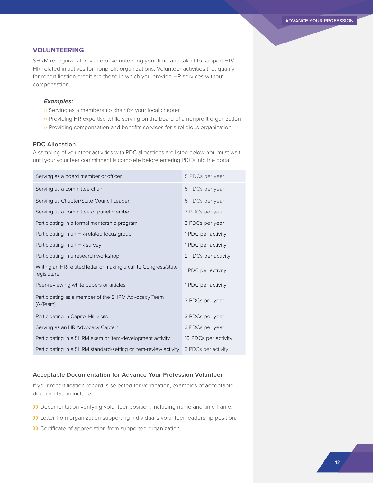#### **VOLUNTEERING**

SHRM recognizes the value of volunteering your time and talent to support HR/ HR-related initiatives for nonprofit organizations. Volunteer activities that qualify for recertification credit are those in which you provide HR services without compensation.

#### *Examples:*

- ›› Serving as a membership chair for your local chapter
- >> Providing HR expertise while serving on the board of a nonprofit organization
- ›› Providing compensation and benefits services for a religious organization

#### **PDC Allocation**

A sampling of volunteer activities with PDC allocations are listed below. You must wait until your volunteer commitment is complete before entering PDCs into the portal.

| Serving as a board member or officer                                           | 5 PDCs per year      |
|--------------------------------------------------------------------------------|----------------------|
| Serving as a committee chair                                                   | 5 PDCs per year      |
| Serving as Chapter/State Council Leader                                        | 5 PDCs per year      |
| Serving as a committee or panel member                                         | 3 PDCs per year      |
| Participating in a formal mentorship program                                   | 3 PDCs per year      |
| Participating in an HR-related focus group                                     | 1 PDC per activity   |
| Participating in an HR survey                                                  | 1 PDC per activity   |
| Participating in a research workshop                                           | 2 PDCs per activity  |
| Writing an HR-related letter or making a call to Congress/state<br>legislature | 1 PDC per activity   |
| Peer-reviewing white papers or articles                                        | 1 PDC per activity   |
| Participating as a member of the SHRM Advocacy Team<br>(A-Team)                | 3 PDCs per year      |
| Participating in Capitol Hill visits                                           | 3 PDCs per year      |
| Serving as an HR Advocacy Captain                                              | 3 PDCs per year      |
| Participating in a SHRM exam or item-development activity                      | 10 PDCs per activity |
| Participating in a SHRM standard-setting or item-review activity               | 3 PDCs per activity  |

#### **Acceptable Documentation for Advance Your Profession Volunteer**

- >> Documentation verifying volunteer position, including name and time frame.
- >> Letter from organization supporting individual's volunteer leadership position.
- >> Certificate of appreciation from supported organization.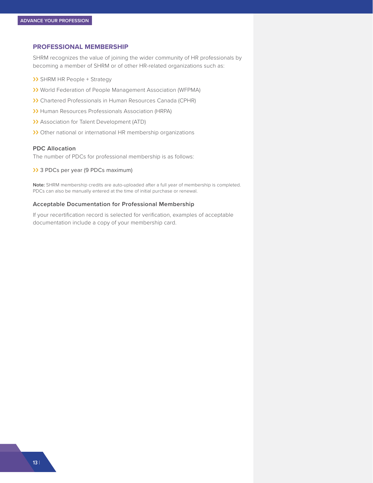#### **PROFESSIONAL MEMBERSHIP**

SHRM recognizes the value of joining the wider community of HR professionals by becoming a member of SHRM or of other HR-related organizations such as:

- >> SHRM HR People + Strategy
- ›› World Federation of People Management Association (WFPMA)
- ›› Chartered Professionals in Human Resources Canada (CPHR)
- >> Human Resources Professionals Association (HRPA)
- >> Association for Talent Development (ATD)
- >> Other national or international HR membership organizations

#### **PDC Allocation**

The number of PDCs for professional membership is as follows:

>> 3 PDCs per year (9 PDCs maximum)

**Note:** SHRM membership credits are auto-uploaded after a full year of membership is completed. PDCs can also be manually entered at the time of initial purchase or renewal.

#### **Acceptable Documentation for Professional Membership**

If your recertification record is selected for verification, examples of acceptable documentation include a copy of your membership card.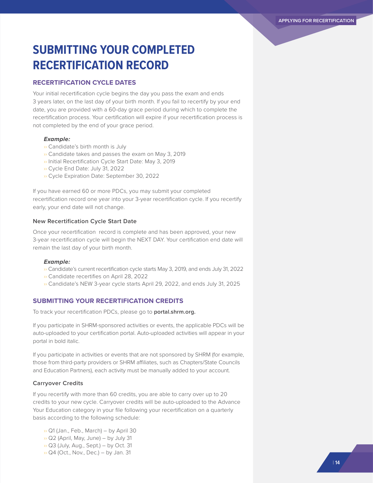# **SUBMITTING YOUR COMPLETED RECERTIFICATION RECORD**

#### **RECERTIFICATION CYCLE DATES**

Your initial recertification cycle begins the day you pass the exam and ends 3 years later, on the last day of your birth month. If you fail to recertify by your end date, you are provided with a 60-day grace period during which to complete the recertification process. Your certification will expire if your recertification process is not completed by the end of your grace period.

#### *Example:*

- ›› Candidate's birth month is July
- ›› Candidate takes and passes the exam on May 3, 2019
- ›› Initial Recertification Cycle Start Date: May 3, 2019
- ›› Cycle End Date: July 31, 2022
- ›› Cycle Expiration Date: September 30, 2022

If you have earned 60 or more PDCs, you may submit your completed recertification record one year into your 3-year recertification cycle. If you recertify early, your end date will not change.

#### **New Recertification Cycle Start Date**

Once your recertification record is complete and has been approved, your new 3-year recertification cycle will begin the NEXT DAY. Your certification end date will remain the last day of your birth month.

#### *Example:*

- ›› Candidate's current recertification cycle starts May 3, 2019, and ends July 31, 2022
- ›› Candidate recertifies on April 28, 2022
- ›› Candidate's NEW 3-year cycle starts April 29, 2022, and ends July 31, 2025

#### **SUBMITTING YOUR RECERTIFICATION CREDITS**

To track your recertification PDCs, please go to **[portal.shrm.org.](http://portal.shrm.org)**

If you participate in SHRM-sponsored activities or events, the applicable PDCs will be auto-uploaded to your certification portal. Auto-uploaded activities will appear in your portal in bold italic.

If you participate in activities or events that are not sponsored by SHRM (for example, those from third-party providers or SHRM affiliates, such as Chapters/State Councils and Education Partners), each activity must be manually added to your account.

#### **Carryover Credits**

If you recertify with more than 60 credits, you are able to carry over up to 20 credits to your new cycle. Carryover credits will be auto-uploaded to the Advance Your Education category in your file following your recertification on a quarterly basis according to the following schedule:

›› Q1 (Jan., Feb., March) – by April 30  $\rightarrow$  Q2 (April, May, June) – by July 31 ›› Q3 (July, Aug., Sept.) – by Oct. 31  $\rightarrow$  Q4 (Oct., Nov., Dec.) – by Jan. 31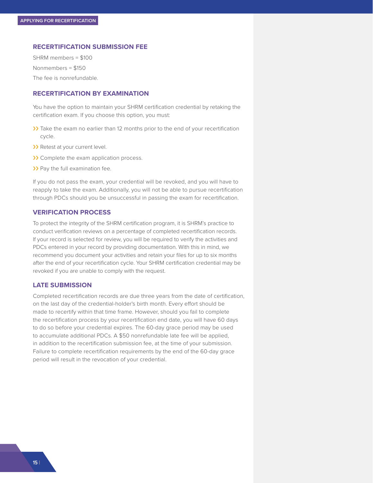#### **RECERTIFICATION SUBMISSION FEE**

SHRM members = \$100 Nonmembers = \$150 The fee is nonrefundable.

#### **RECERTIFICATION BY EXAMINATION**

You have the option to maintain your SHRM certification credential by retaking the certification exam. If you choose this option, you must:

- >> Take the exam no earlier than 12 months prior to the end of your recertification cycle.
- >> Retest at your current level.
- >> Complete the exam application process.
- >> Pay the full examination fee.

If you do not pass the exam, your credential will be revoked, and you will have to reapply to take the exam. Additionally, you will not be able to pursue recertification through PDCs should you be unsuccessful in passing the exam for recertification.

#### **VERIFICATION PROCESS**

To protect the integrity of the SHRM certification program, it is SHRM's practice to conduct verification reviews on a percentage of completed recertification records. If your record is selected for review, you will be required to verify the activities and PDCs entered in your record by providing documentation. With this in mind, we recommend you document your activities and retain your files for up to six months after the end of your recertification cycle. Your SHRM certification credential may be revoked if you are unable to comply with the request.

#### **LATE SUBMISSION**

Completed recertification records are due three years from the date of certification, on the last day of the credential-holder's birth month. Every effort should be made to recertify within that time frame. However, should you fail to complete the recertification process by your recertification end date, you will have 60 days to do so before your credential expires. The 60-day grace period may be used to accumulate additional PDCs. A \$50 nonrefundable late fee will be applied, in addition to the recertification submission fee, at the time of your submission. Failure to complete recertification requirements by the end of the 60-day grace period will result in the revocation of your credential.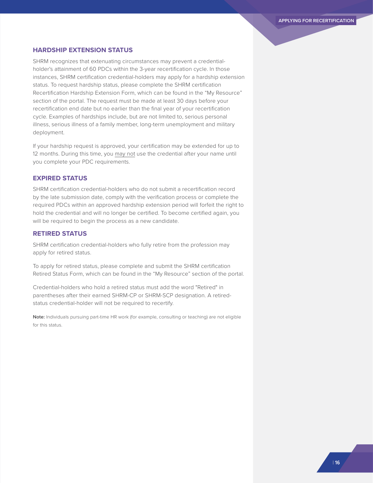#### **HARDSHIP EXTENSION STATUS**

SHRM recognizes that extenuating circumstances may prevent a credentialholder's attainment of 60 PDCs within the 3-year recertification cycle. In those instances, SHRM certification credential-holders may apply for a hardship extension status. To request hardship status, please complete the SHRM certification Recertification Hardship Extension Form, which can be found in the "My Resource" section of the portal. The request must be made at least 30 days before your recertification end date but no earlier than the final year of your recertification cycle. Examples of hardships include, but are not limited to, serious personal illness, serious illness of a family member, long-term unemployment and military deployment.

If your hardship request is approved, your certification may be extended for up to 12 months. During this time, you may not use the credential after your name until you complete your PDC requirements.

#### **EXPIRED STATUS**

SHRM certification credential-holders who do not submit a recertification record by the late submission date, comply with the verification process or complete the required PDCs within an approved hardship extension period will forfeit the right to hold the credential and will no longer be certified. To become certified again, you will be required to begin the process as a new candidate.

#### **RETIRED STATUS**

SHRM certification credential-holders who fully retire from the profession may apply for retired status.

To apply for retired status, please complete and submit the SHRM certification Retired Status Form, which can be found in the "My Resource" section of the portal.

Credential-holders who hold a retired status must add the word "Retired" in parentheses after their earned SHRM-CP or SHRM-SCP designation. A retiredstatus credential-holder will not be required to recertify.

**Note:** Individuals pursuing part-time HR work (for example, consulting or teaching) are not eligible for this status.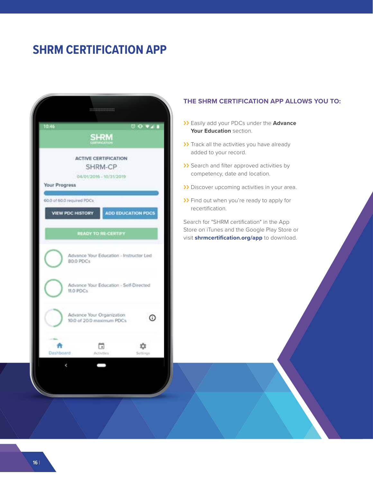### **SHRM CERTIFICATION APP**

|                            | <b>SHRM</b>                                            |          |
|----------------------------|--------------------------------------------------------|----------|
|                            |                                                        |          |
|                            | <b>ACTIVE CERTIFICATION</b>                            |          |
|                            | SHRM-CP<br>04/01/2016 - 10/31/2019                     |          |
| <b>Your Progress</b>       |                                                        |          |
| 60.0 of 60.0 required PDCs |                                                        |          |
| <b>VIEW PDC HISTORY</b>    | <b>ADD EDUCATION PDCS</b>                              |          |
|                            |                                                        |          |
|                            | <b>READY TO RE-CERTIFY</b>                             |          |
| 80.0 PDCs                  | Advance Your Education - Instructor Led                |          |
| 11.0 PDCs                  | Advance Your Education - Self-Directed                 |          |
|                            | Advance Your Organization<br>10.0 of 20.0 maximum PDCs | Ф        |
|                            | $\left\lceil \frac{1}{2} \right\rceil$                 | Settings |

#### **THE SHRM CERTIFICATION APP ALLOWS YOU TO:**

- ›› Easily add your PDCs under the **Advance Your Education** section.
- >> Track all the activities you have already added to your record.
- >> Search and filter approved activities by competency, date and location.
- >> Discover upcoming activities in your area.
- >> Find out when you're ready to apply for recertification.

Search for "SHRM certification" in the App Store on iTunes and the Google Play Store or visit **[shrmcertification.org/app](http://shrmcertification.org/app)** to download.